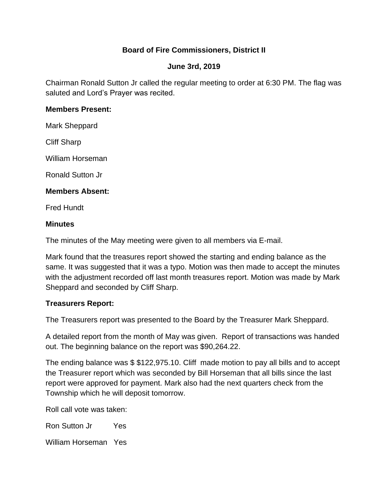# **Board of Fire Commissioners, District II**

# **June 3rd, 2019**

Chairman Ronald Sutton Jr called the regular meeting to order at 6:30 PM. The flag was saluted and Lord's Prayer was recited.

## **Members Present:**

Mark Sheppard

Cliff Sharp

William Horseman

Ronald Sutton Jr

# **Members Absent:**

Fred Hundt

# **Minutes**

The minutes of the May meeting were given to all members via E-mail.

Mark found that the treasures report showed the starting and ending balance as the same. It was suggested that it was a typo. Motion was then made to accept the minutes with the adjustment recorded off last month treasures report. Motion was made by Mark Sheppard and seconded by Cliff Sharp.

# **Treasurers Report:**

The Treasurers report was presented to the Board by the Treasurer Mark Sheppard.

A detailed report from the month of May was given. Report of transactions was handed out. The beginning balance on the report was \$90,264.22.

The ending balance was \$ \$122,975.10. Cliff made motion to pay all bills and to accept the Treasurer report which was seconded by Bill Horseman that all bills since the last report were approved for payment. Mark also had the next quarters check from the Township which he will deposit tomorrow.

Roll call vote was taken:

Ron Sutton Jr Yes

William Horseman Yes